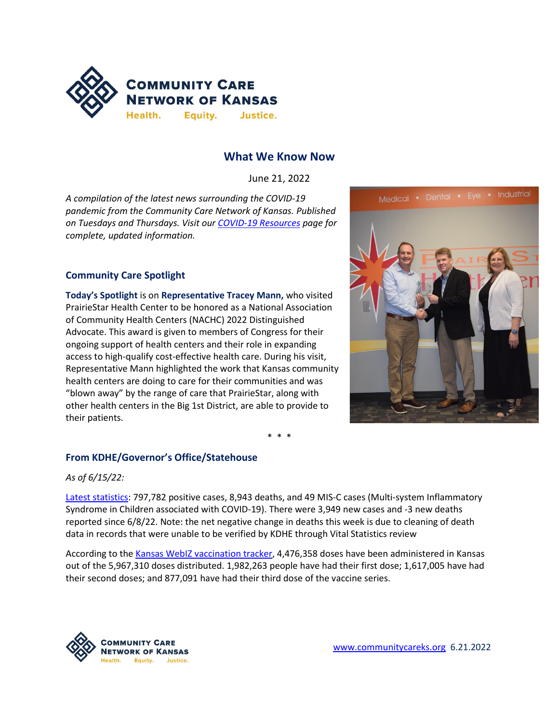

# **What We Know Now**

June 21, 2022

*A compilation of the latest news surrounding the COVID-19 pandemic from the Community Care Network of Kansas. Published on Tuesdays and Thursdays. Visit ou[r COVID-19 Resources](https://www.communitycareks.org/covid-19-2019-novel-coronavirus/) page for complete, updated information.*

#### **Community Care Spotlight**

**Today's Spotlight** is on **Representative Tracey Mann,** who visited PrairieStar Health Center to be honored as a National Association of Community Health Centers (NACHC) 2022 Distinguished Advocate. This award is given to members of Congress for their ongoing support of health centers and their role in expanding access to high-qualify cost-effective health care. During his visit, Representative Mann highlighted the work that Kansas community health centers are doing to care for their communities and was "blown away" by the range of care that PrairieStar, along with other health centers in the Big 1st District, are able to provide to their patients.



\* \* \*

#### **From KDHE/Governor's Office/Statehouse**

*As of 6/15/22:*

[Latest statistics:](https://www.coronavirus.kdheks.gov/160/COVID-19-in-Kansas) 797,782 positive cases, 8,943 deaths, and 49 MIS-C cases (Multi-system Inflammatory Syndrome in Children associated with COVID-19). There were 3,949 new cases and -3 new deaths reported since 6/8/22. Note: the net negative change in deaths this week is due to cleaning of death data in records that were unable to be verified by KDHE through Vital Statistics review

According to th[e Kansas WebIZ vaccination tracker,](https://www.kansasvaccine.gov/158/Data) 4,476,358 doses have been administered in Kansas out of the 5,967,310 doses distributed. 1,982,263 people have had their first dose; 1,617,005 have had their second doses; and 877,091 have had their third dose of the vaccine series.

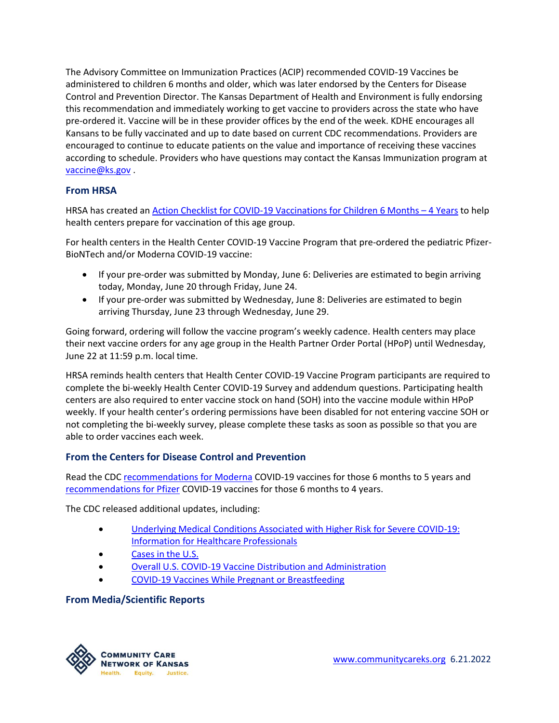The Advisory Committee on Immunization Practices (ACIP) recommended COVID-19 Vaccines be administered to children 6 months and older, which was later endorsed by the Centers for Disease Control and Prevention Director. The Kansas Department of Health and Environment is fully endorsing this recommendation and immediately working to get vaccine to providers across the state who have pre-ordered it. Vaccine will be in these provider offices by the end of the week. KDHE encourages all Kansans to be fully vaccinated and up to date based on current CDC recommendations. Providers are encouraged to continue to educate patients on the value and importance of receiving these vaccines according to schedule. Providers who have questions may contact the Kansas Immunization program at [vaccine@ks.gov](mailto:vaccine@ks.gov).

## **From HRSA**

HRSA has created an [Action Checklist for COVID-19 Vaccinations for Children 6 Months](https://linkprotect.cudasvc.com/url?a=https%3a%2f%2flnks.gd%2fl%2feyJhbGciOiJIUzI1NiJ9.eyJidWxsZXRpbl9saW5rX2lkIjoxMTAsInVyaSI6ImJwMjpjbGljayIsImJ1bGxldGluX2lkIjoiMjAyMjA2MjEuNTk2NzQ0OTEiLCJ1cmwiOiJodHRwczovL2hyc2EubXkuc2FsZXNmb3JjZS5jb20vc2ZjL3AvI2kwMDAwMDAwYk1QTS9hLzNkMDAwMDAwSHZlRy9KbkI1cl9HQWVCRW1KSmx1RU9WdGU5WTZvNUJFajNCbExwSUUweU1uQnhZIn0.ZhsgECuBnK6PnOJR2EStTwkwIqg-SZjWn7tjChA41j4%2fs%2f1563431904%2fbr%2f133340575296-l&c=E,1,_JOF-UIqSII6ibbMb7XhtvE2SrgkG3d2dg_b7dpC2bBTzXVYuz8Ri8zXeI73skrbvCJz31FGkMALlsBEe8nDRqAcsTi6WWUDtijyOImX731iZ1c,&typo=1) - 4 Years to help health centers prepare for vaccination of this age group.

For health centers in the Health Center COVID-19 Vaccine Program that pre-ordered the pediatric Pfizer-BioNTech and/or Moderna COVID-19 vaccine:

- If your pre-order was submitted by Monday, June 6: Deliveries are estimated to begin arriving today, Monday, June 20 through Friday, June 24.
- If your pre-order was submitted by Wednesday, June 8: Deliveries are estimated to begin arriving Thursday, June 23 through Wednesday, June 29.

Going forward, ordering will follow the vaccine program's weekly cadence. Health centers may place their next vaccine orders for any age group in the Health Partner Order Portal (HPoP) until Wednesday, June 22 at 11:59 p.m. local time.

HRSA reminds health centers that Health Center COVID-19 Vaccine Program participants are required to complete the bi-weekly Health Center COVID-19 Survey and addendum questions. Participating health centers are also required to enter vaccine stock on hand (SOH) into the vaccine module within HPoP weekly. If your health center's ordering permissions have been disabled for not entering vaccine SOH or not completing the bi-weekly survey, please complete these tasks as soon as possible so that you are able to order vaccines each week.

## **From the Centers for Disease Control and Prevention**

Read the CD[C recommendations](https://www.cdc.gov/vaccines/covid-19/info-by-product/moderna/index.html) for Moderna COVID-19 vaccines for those 6 months to 5 years and [recommendations](https://www.cdc.gov/vaccines/covid-19/info-by-product/pfizer/index.html) for Pfizer COVID-19 vaccines for those 6 months to 4 years.

The CDC released additional updates, including:

- [Underlying Medical Conditions Associated with Higher Risk for Severe COVID-19:](https://www.cdc.gov/coronavirus/2019-ncov/hcp/clinical-care/underlyingconditions.html)  [Information for Healthcare Professionals](https://www.cdc.gov/coronavirus/2019-ncov/hcp/clinical-care/underlyingconditions.html)
- [Cases in the U.S.](https://covid.cdc.gov/covid-data-tracker/#cases_casesper100klast7days)
- [Overall U.S. COVID-19 Vaccine Distribution and Administration](https://covid.cdc.gov/covid-data-tracker/#vaccinations_vacc-total-admin-rate-total)
- [COVID-19 Vaccines While Pregnant or Breastfeeding](https://www.cdc.gov/coronavirus/2019-ncov/vaccines/recommendations/pregnancy.html)

#### **From Media/Scientific Reports**